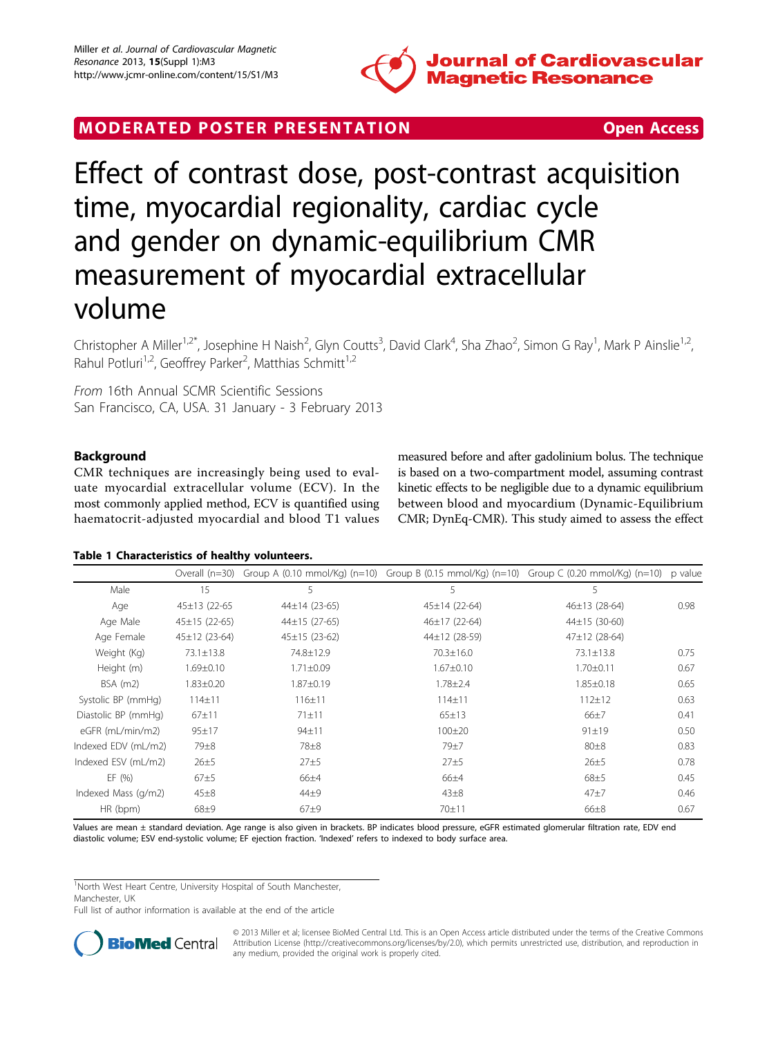

# <span id="page-0-0"></span>MODERATED POSTER PRESENTATION **SECURE 20 SET ACCESS**



# Effect of contrast dose, post-contrast acquisition time, myocardial regionality, cardiac cycle and gender on dynamic-equilibrium CMR measurement of myocardial extracellular volume

Christopher A Miller<sup>1,2\*</sup>, Josephine H Naish<sup>2</sup>, Glyn Coutts<sup>3</sup>, David Clark<sup>4</sup>, Sha Zhao<sup>2</sup>, Simon G Ray<sup>1</sup>, Mark P Ainslie<sup>1,2</sup>, Rahul Potluri<sup>1,2</sup>, Geoffrey Parker<sup>2</sup>, Matthias Schmitt<sup>1,2</sup>

From 16th Annual SCMR Scientific Sessions San Francisco, CA, USA. 31 January - 3 February 2013

## Background

CMR techniques are increasingly being used to evaluate myocardial extracellular volume (ECV). In the most commonly applied method, ECV is quantified using haematocrit-adjusted myocardial and blood T1 values

Table 1 Characteristics of healthy volunteers.

measured before and after gadolinium bolus. The technique is based on a two-compartment model, assuming contrast kinetic effects to be negligible due to a dynamic equilibrium between blood and myocardium (Dynamic-Equilibrium CMR; DynEq-CMR). This study aimed to assess the effect

|                     | Overall $(n=30)$    |                     | Group A (0.10 mmol/Kg) (n=10) Group B (0.15 mmol/Kg) (n=10) Group C (0.20 mmol/Kg) (n=10) |                  | p value |
|---------------------|---------------------|---------------------|-------------------------------------------------------------------------------------------|------------------|---------|
| Male                | 15                  | 5                   | 5                                                                                         | 5.               |         |
| Age                 | 45±13 (22-65        | $44\pm14(23-65)$    | $45 \pm 14$ (22-64)                                                                       | $46\pm13(28-64)$ | 0.98    |
| Age Male            | $45 \pm 15$ (22-65) | $44\pm15(27-65)$    | 46±17 (22-64)                                                                             | $44\pm15(30-60)$ |         |
| Age Female          | 45±12 (23-64)       | $45 \pm 15$ (23-62) | 44±12 (28-59)                                                                             | 47±12 (28-64)    |         |
| Weight (Kg)         | 73.1±13.8           | 74.8±12.9           | $70.3 \pm 16.0$                                                                           | 73.1±13.8        | 0.75    |
| Height (m)          | $1.69 \pm 0.10$     | $1.71 \pm 0.09$     | $1.67 \pm 0.10$                                                                           | $1.70 \pm 0.11$  | 0.67    |
| $BSA$ (m2)          | $1.83 \pm 0.20$     | $1.87 + 0.19$       | $1.78 + 2.4$                                                                              | $1.85 \pm 0.18$  | 0.65    |
| Systolic BP (mmHg)  | $114 \pm 11$        | 116±11              | $114 \pm 11$                                                                              | $112 \pm 12$     | 0.63    |
| Diastolic BP (mmHg) | $67 + 11$           | $71 + 11$           | $65 \pm 13$                                                                               | 66±7             | 0.41    |
| eGFR (mL/min/m2)    | 95±17               | 94±11               | $100 \pm 20$                                                                              | $91 \pm 19$      | 0.50    |
| Indexed EDV (mL/m2) | $79\pm8$            | $78\pm8$            | 79 <sub>±7</sub>                                                                          | $80\pm8$         | 0.83    |
| Indexed ESV (mL/m2) | $26 + 5$            | 27±5                | $27 + 5$                                                                                  | $26 + 5$         | 0.78    |
| EF(%)               | 67±5                | 66±4                | 66±4                                                                                      | $68\pm5$         | 0.45    |
| Indexed Mass (g/m2) | $45\pm8$            | $44\pm9$            | $43\pm8$                                                                                  | $47 + 7$         | 0.46    |
| HR (bpm)            | $68\pm9$            | $67 + 9$            | $70 + 11$                                                                                 | $66 + 8$         | 0.67    |

Values are mean ± standard deviation. Age range is also given in brackets. BP indicates blood pressure, eGFR estimated glomerular filtration rate, EDV end diastolic volume; ESV end-systolic volume; EF ejection fraction. 'Indexed' refers to indexed to body surface area.

<sup>1</sup>North West Heart Centre, University Hospital of South Manchester,

Manchester, UK

Full list of author information is available at the end of the article



© 2013 Miller et al; licensee BioMed Central Ltd. This is an Open Access article distributed under the terms of the Creative Commons Attribution License [\(http://creativecommons.org/licenses/by/2.0](http://creativecommons.org/licenses/by/2.0)), which permits unrestricted use, distribution, and reproduction in any medium, provided the original work is properly cited.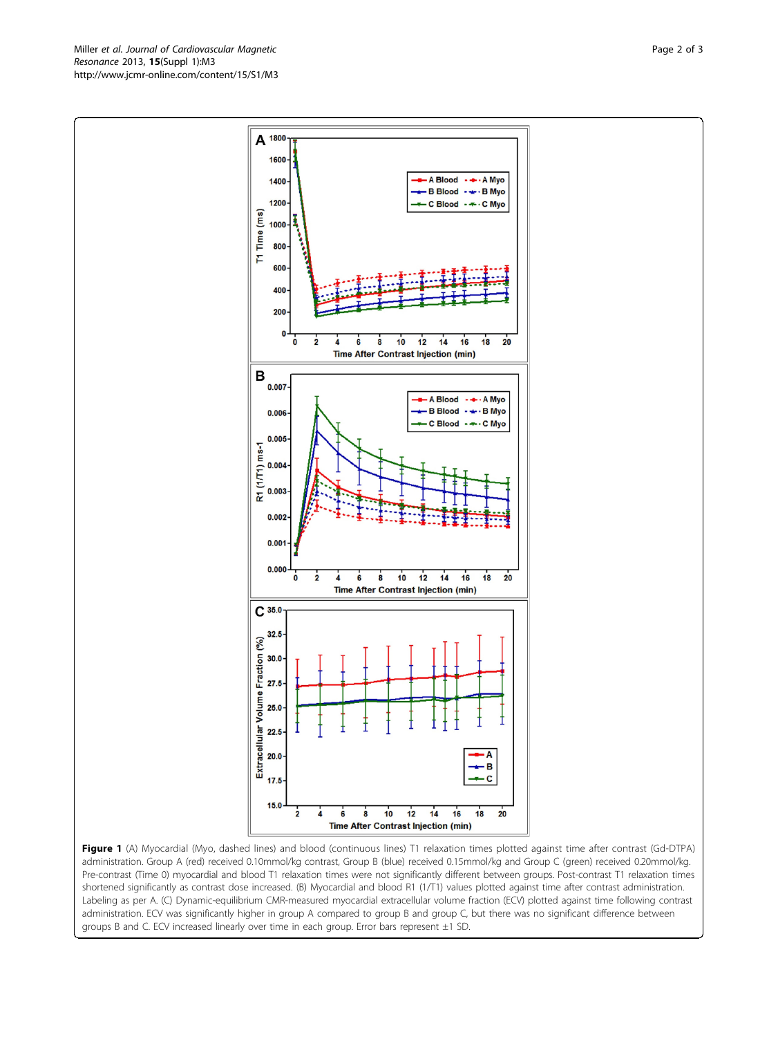<span id="page-1-0"></span>Miller et al. Journal of Cardiovascular Magnetic Resonance 2013, 15(Suppl 1):M3 http://www.jcmr-online.com/content/15/S1/M3



Figure 1 (A) Myocardial (Myo, dashed lines) and blood (continuous lines) T1 relaxation times plotted against time after contrast (Gd-DTPA) administration. Group A (red) received 0.10mmol/kg contrast, Group B (blue) received 0.15mmol/kg and Group C (green) received 0.20mmol/kg. Pre-contrast (Time 0) myocardial and blood T1 relaxation times were not significantly different between groups. Post-contrast T1 relaxation times shortened significantly as contrast dose increased. (B) Myocardial and blood R1 (1/T1) values plotted against time after contrast administration. Labeling as per A. (C) Dynamic-equilibrium CMR-measured myocardial extracellular volume fraction (ECV) plotted against time following contrast administration. ECV was significantly higher in group A compared to group B and group C, but there was no significant difference between groups B and C. ECV increased linearly over time in each group. Error bars represent ±1 SD.